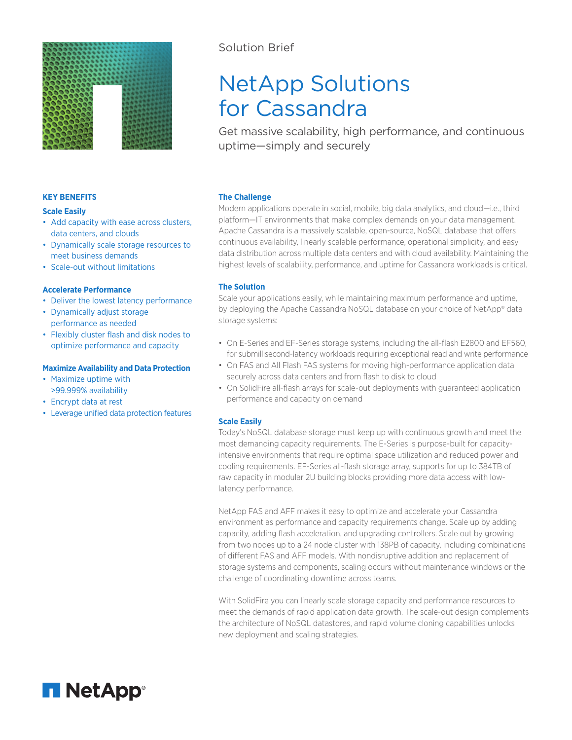

### **KEY BENEFITS**

#### **Scale Easily**

- Add capacity with ease across clusters, data centers, and clouds
- Dynamically scale storage resources to meet business demands
- Scale-out without limitations

## **Accelerate Performance**

- Deliver the lowest latency performance
- Dynamically adjust storage performance as needed
- Flexibly cluster flash and disk nodes to optimize performance and capacity

#### **Maximize Availability and Data Protection**

- Maximize uptime with >99.999% availability
- Encrypt data at rest
- Leverage unified data protection features

## Solution Brief

# NetApp Solutions for Cassandra

Get massive scalability, high performance, and continuous uptime—simply and securely

## **The Challenge**

Modern applications operate in social, mobile, big data analytics, and cloud—i.e., third platform—IT environments that make complex demands on your data management. Apache Cassandra is a massively scalable, open-source, NoSQL database that offers continuous availability, linearly scalable performance, operational simplicity, and easy data distribution across multiple data centers and with cloud availability. Maintaining the highest levels of scalability, performance, and uptime for Cassandra workloads is critical.

## **The Solution**

Scale your applications easily, while maintaining maximum performance and uptime, by deploying the Apache Cassandra NoSQL database on your choice of NetApp® data storage systems:

- On E-Series and EF-Series storage systems, including the all-flash E2800 and EF560, for submillisecond-latency workloads requiring exceptional read and write performance
- On FAS and All Flash FAS systems for moving high-performance application data securely across data centers and from flash to disk to cloud
- On SolidFire all-flash arrays for scale-out deployments with guaranteed application performance and capacity on demand

## **Scale Easily**

Today's NoSQL database storage must keep up with continuous growth and meet the most demanding capacity requirements. The E-Series is purpose-built for capacityintensive environments that require optimal space utilization and reduced power and cooling requirements. EF-Series all-flash storage array, supports for up to 384TB of raw capacity in modular 2U building blocks providing more data access with lowlatency performance.

NetApp FAS and AFF makes it easy to optimize and accelerate your Cassandra environment as performance and capacity requirements change. Scale up by adding capacity, adding flash acceleration, and upgrading controllers. Scale out by growing from two nodes up to a 24 node cluster with 138PB of capacity, including combinations of different FAS and AFF models. With nondisruptive addition and replacement of storage systems and components, scaling occurs without maintenance windows or the challenge of coordinating downtime across teams.

With SolidFire you can linearly scale storage capacity and performance resources to meet the demands of rapid application data growth. The scale-out design complements the architecture of NoSQL datastores, and rapid volume cloning capabilities unlocks new deployment and scaling strategies.

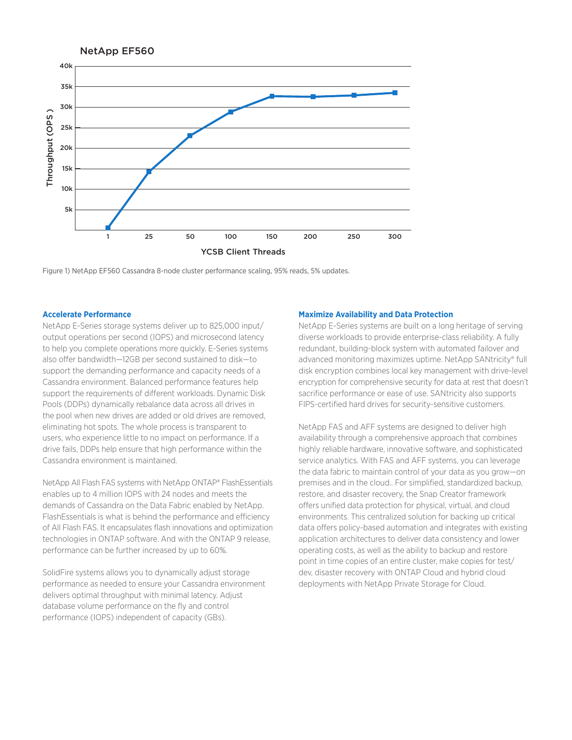

Figure 1) NetApp EF560 Cassandra 8-node cluster performance scaling, 95% reads, 5% updates.

## **Accelerate Performance**

NetApp E-Series storage systems deliver up to 825,000 input/ output operations per second (IOPS) and microsecond latency to help you complete operations more quickly. E-Series systems also offer bandwidth—12GB per second sustained to disk—to support the demanding performance and capacity needs of a Cassandra environment. Balanced performance features help support the requirements of different workloads. Dynamic Disk Pools (DDPs) dynamically rebalance data across all drives in the pool when new drives are added or old drives are removed, eliminating hot spots. The whole process is transparent to users, who experience little to no impact on performance. If a drive fails, DDPs help ensure that high performance within the Cassandra environment is maintained.

NetApp All Flash FAS systems with NetApp ONTAP® FlashEssentials enables up to 4 million IOPS with 24 nodes and meets the demands of Cassandra on the Data Fabric enabled by NetApp. FlashEssentials is what is behind the performance and efficiency of All Flash FAS. It encapsulates flash innovations and optimization technologies in ONTAP software. And with the ONTAP 9 release, performance can be further increased by up to 60%.

SolidFire systems allows you to dynamically adjust storage performance as needed to ensure your Cassandra environment delivers optimal throughput with minimal latency. Adjust database volume performance on the fly and control performance (IOPS) independent of capacity (GBs).

#### **Maximize Availability and Data Protection**

NetApp E-Series systems are built on a long heritage of serving diverse workloads to provide enterprise-class reliability. A fully redundant, building-block system with automated failover and advanced monitoring maximizes uptime. NetApp SANtricity® full disk encryption combines local key management with drive-level encryption for comprehensive security for data at rest that doesn't sacrifice performance or ease of use. SANtricity also supports FIPS-certified hard drives for security-sensitive customers.

NetApp FAS and AFF systems are designed to deliver high availability through a comprehensive approach that combines highly reliable hardware, innovative software, and sophisticated service analytics. With FAS and AFF systems, you can leverage the data fabric to maintain control of your data as you grow—on premises and in the cloud.. For simplified, standardized backup, restore, and disaster recovery, the Snap Creator framework offers unified data protection for physical, virtual, and cloud environments. This centralized solution for backing up critical data offers policy-based automation and integrates with existing application architectures to deliver data consistency and lower operating costs, as well as the ability to backup and restore point in time copies of an entire cluster, make copies for test/ dev, disaster recovery with ONTAP Cloud and hybrid cloud deployments with NetApp Private Storage for Cloud.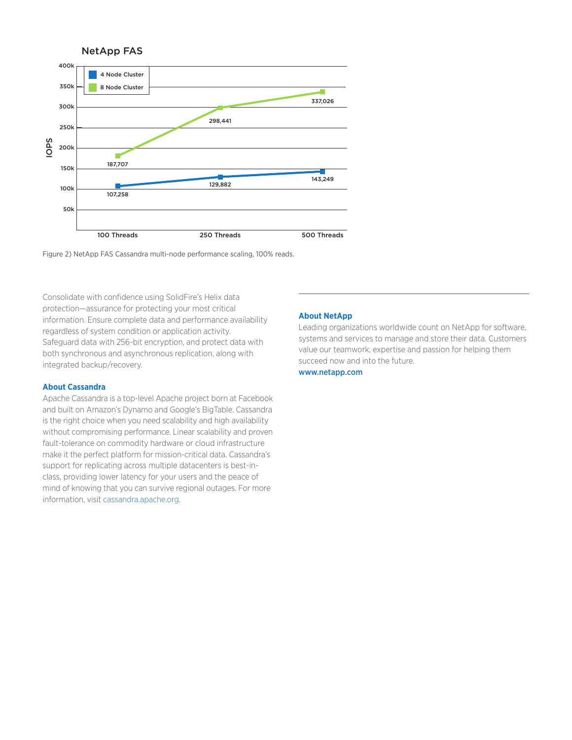



Consolidate with confidence using SolidFire's Helix data protection—assurance for protecting your most critical information. Ensure complete data and performance availability regardless of system condition or application activity. Safeguard data with 256-bit encryption, and protect data with both synchronous and asynchronous replication, along with integrated backup/recovery.

#### **About Cassandra**

Apache Cassandra is a top-level Apache project born at Facebook and built on Amazon's Dynamo and Google's BigTable. Cassandra is the right choice when you need scalability and high availability without compromising performance. Linear scalability and proven fault-tolerance on commodity hardware or cloud infrastructure make it the perfect platform for mission-critical data. Cassandra's support for replicating across multiple datacenters is best-inclass, providing lower latency for your users and the peace of mind of knowing that you can survive regional outages. For more information, visit cassandra.apache.org.

#### **About NetApp**

Leading organizations worldwide count on NetApp for software, systems and services to manage and store their data. Customers value our teamwork, expertise and passion for helping them succeed now and into the future.

#### www.netapp.com